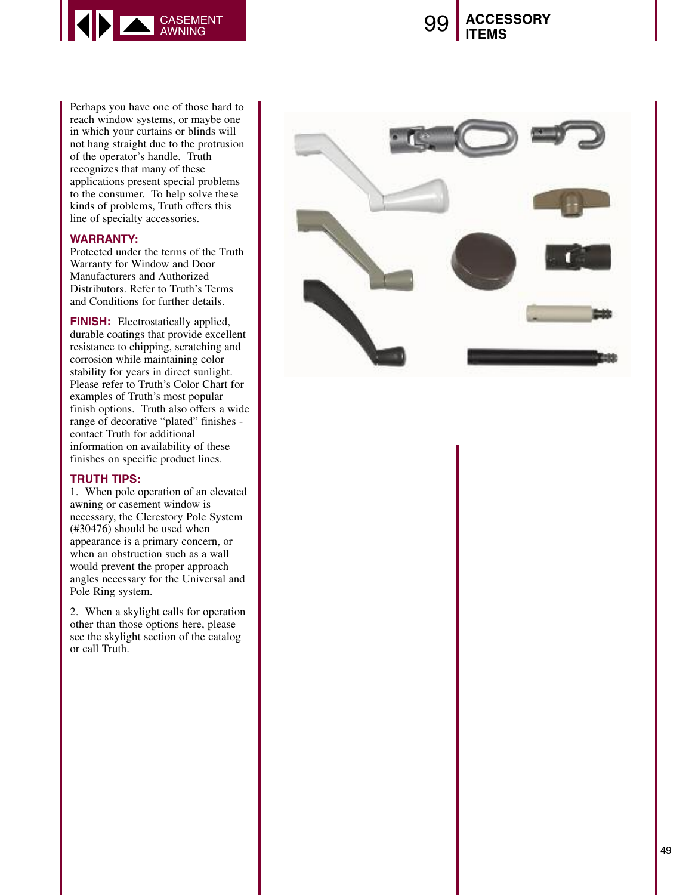

## 9 9 **A C C E S S O R Y I T E M S**

Perhaps you have one of those hard to reach window systems, or maybe one in which your curtains or blinds will not hang straight due to the protrusion of the operator's handle. Truth recognizes that many of these applications present special problems to the consumer. To help solve these kinds of problems, Truth offers this line of specialty accessories.

## **WARRANTY:**

Protected under the terms of the Truth Warranty for Window and Door Manufacturers and Authorized Distributors. Refer to Truth's Terms and Conditions for further details.

**FINISH:** Electrostatically applied, durable coatings that provide excellent resistance to chipping, scratching and corrosion while maintaining color stability for years in direct sunlight. Please refer to Truth's Color Chart for examples of Truth's most popular finish options. Truth also offers a wide range of decorative "plated" finishes contact Truth for additional information on availability of these finishes on specific product lines.

## **T R U T H T I P S :**

1. When pole operation of an elevated awning or casement window is necessary, the Clerestory Pole System  $(\#30476)$  should be used when appearance is a primary concern, or when an obstruction such as a wall would prevent the proper approach angles necessary for the Universal and Pole Ring system.

2. When a skylight calls for operation other than those options here, please see the skylight section of the catalog or call Truth.

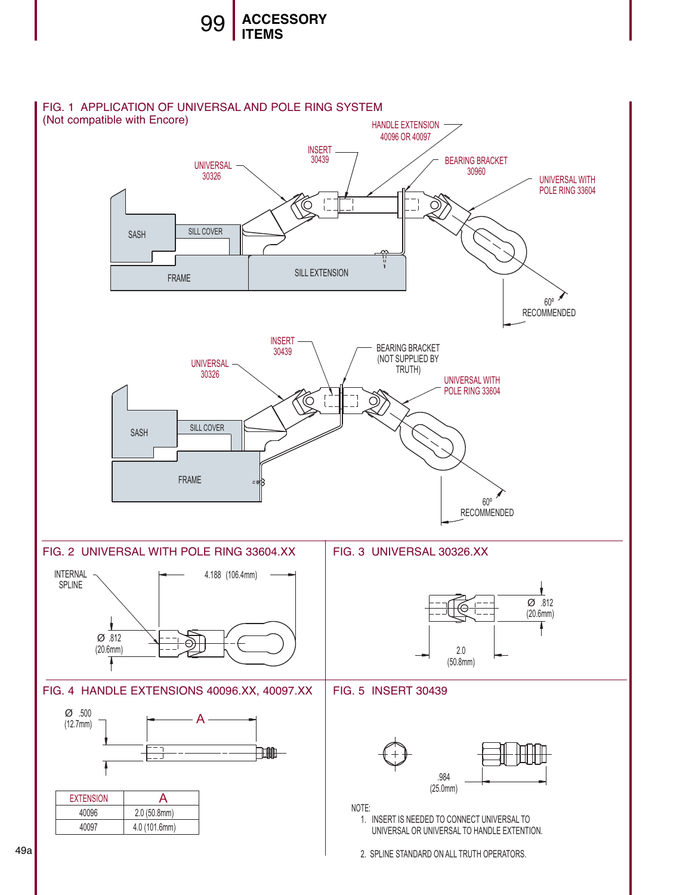

49a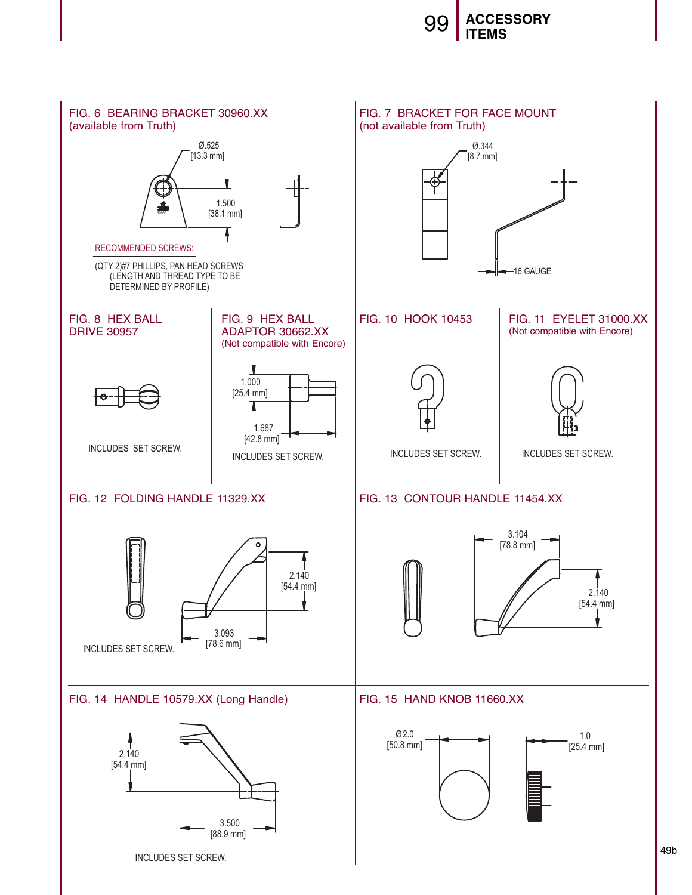

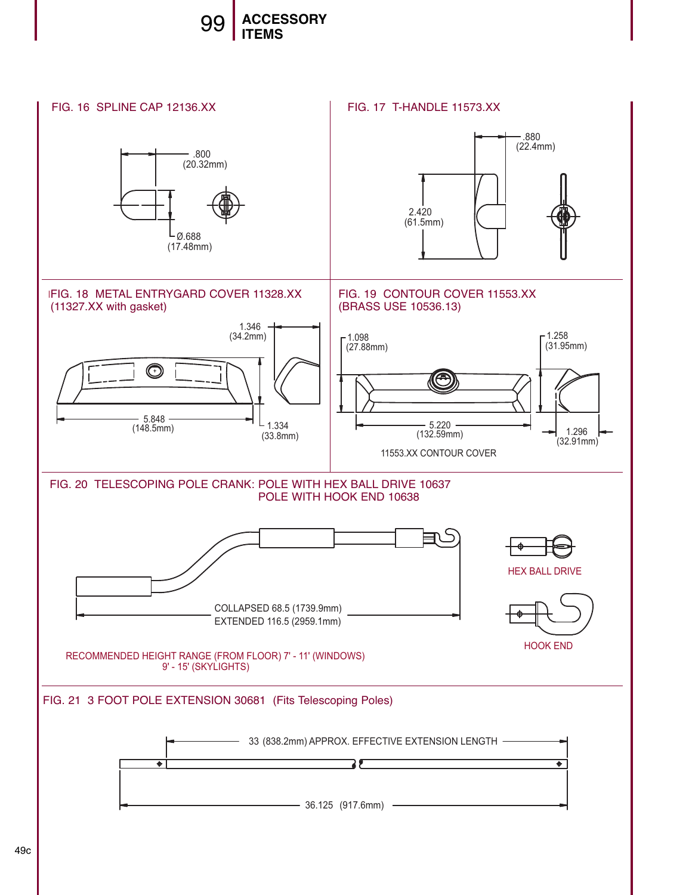

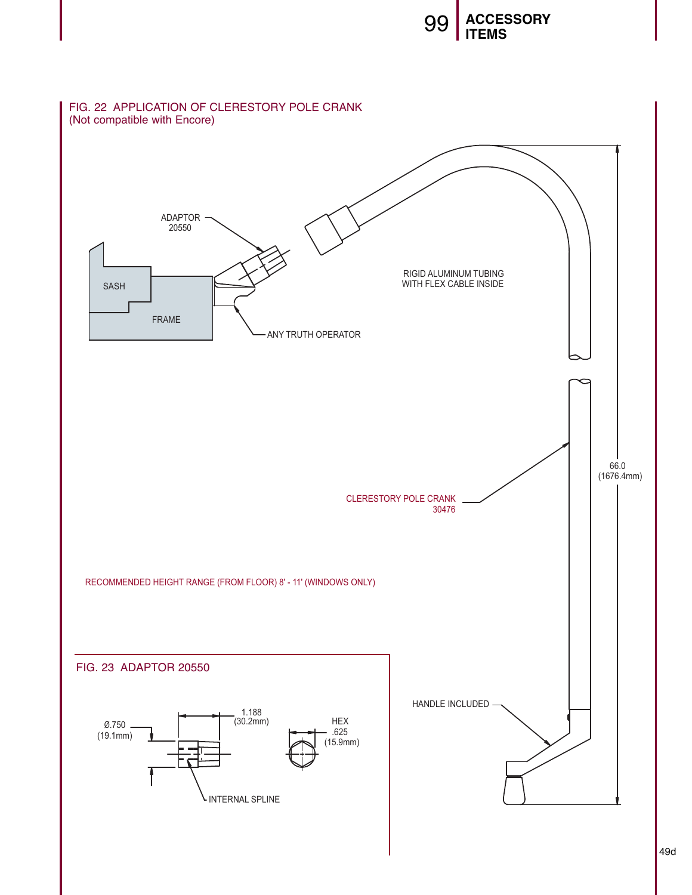